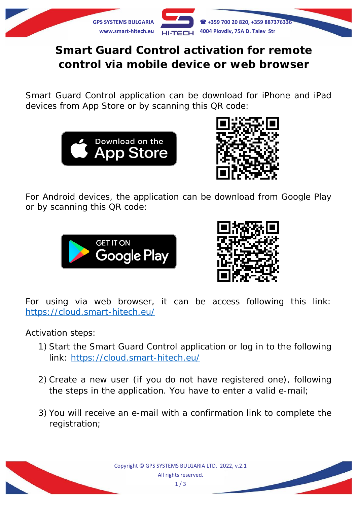

## **Smart Guard Control activation for remote control via mobile device or web browser**

Smart Guard Control application can be download for iPhone and iPad devices from App Store or by scanning this QR code:





For Android devices, the application can be download from Google Play or by scanning this QR code:





For using via web browser, it can be access following this link: <https://cloud.smart-hitech.eu/>

Activation steps:

- 1) Start the Smart Guard Control application or log in to the following link: <https://cloud.smart-hitech.eu/>
- 2) Create a new user (if you do not have registered one), following the steps in the application. You have to enter a valid e-mail;
- 3) You will receive an e-mail with a confirmation link to complete the registration;

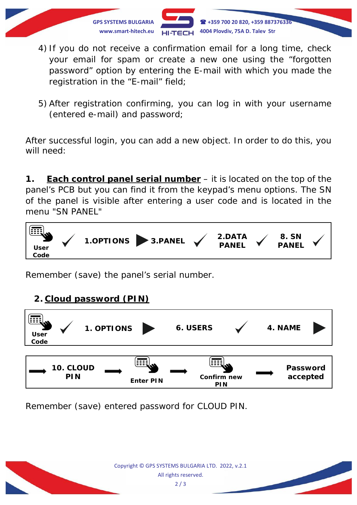

- 4) If you do not receive a confirmation email for a long time, check your email for spam or create a new one using the "forgotten password" option by entering the E-mail with which you made the registration in the "E-mail" field;
- 5) After registration confirming, you can log in with your username (entered e-mail) and password;

After successful login, you can add a new object. In order to do this, you will need:

**1. Each control panel serial number** – it is located on the top of the panel's PCB but you can find it from the keypad's menu options. The SN of the panel is visible after entering a user code and is located in the menu "SN PANEL"



Remember (save) the panel's serial number.

## **2. Cloud password (PIN)**



Remember (save) entered password for CLOUD PIN.